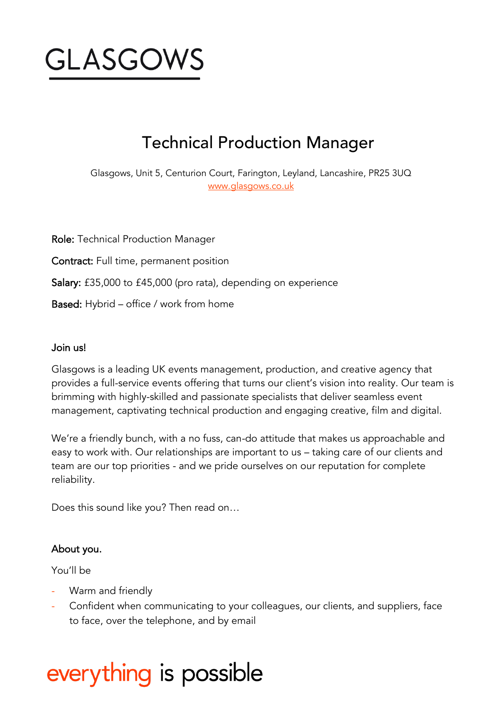

## Technical Production Manager

Glasgows, Unit 5, Centurion Court, Farington, Leyland, Lancashire, PR25 3UQ [www.glasgows.co.uk](http://www.glasgows.co.uk/)

Role: Technical Production Manager Contract: Full time, permanent position Salary: £35,000 to £45,000 (pro rata), depending on experience Based: Hybrid – office / work from home

#### Join us!

Glasgows is a leading UK events management, production, and creative agency that provides a full-service events offering that turns our client's vision into reality. Our team is brimming with highly-skilled and passionate specialists that deliver seamless event management, captivating technical production and engaging creative, film and digital.

We're a friendly bunch, with a no fuss, can-do attitude that makes us approachable and easy to work with. Our relationships are important to us – taking care of our clients and team are our top priorities - and we pride ourselves on our reputation for complete reliability.

Does this sound like you? Then read on…

#### About you.

You'll be

- Warm and friendly
- Confident when communicating to your colleagues, our clients, and suppliers, face to face, over the telephone, and by email

# everything is possible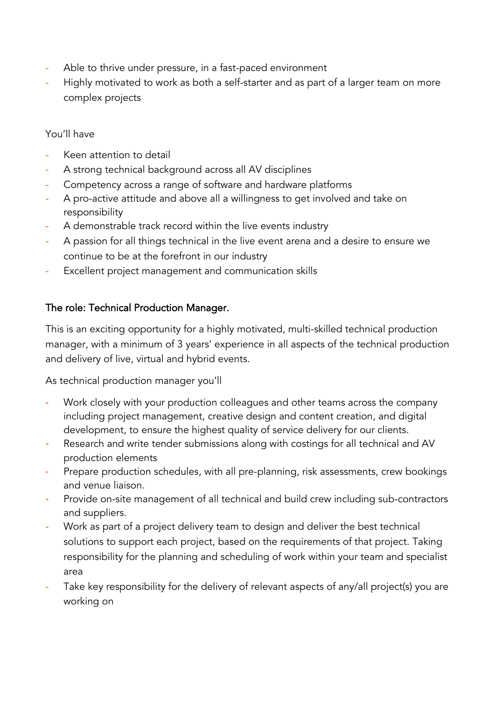- Able to thrive under pressure, in a fast-paced environment
- Highly motivated to work as both a self-starter and as part of a larger team on more complex projects

#### You'll have

- Keen attention to detail
- A strong technical background across all AV disciplines
- Competency across a range of software and hardware platforms
- A pro-active attitude and above all a willingness to get involved and take on responsibility
- A demonstrable track record within the live events industry
- A passion for all things technical in the live event arena and a desire to ensure we continue to be at the forefront in our industry
- Excellent project management and communication skills

### The role: Technical Production Manager.

This is an exciting opportunity for a highly motivated, multi-skilled technical production manager, with a minimum of 3 years' experience in all aspects of the technical production and delivery of live, virtual and hybrid events.

As technical production manager you'll

- Work closely with your production colleagues and other teams across the company including project management, creative design and content creation, and digital development, to ensure the highest quality of service delivery for our clients.
- Research and write tender submissions along with costings for all technical and AV production elements
- Prepare production schedules, with all pre-planning, risk assessments, crew bookings and venue liaison.
- Provide on-site management of all technical and build crew including sub-contractors and suppliers.
- Work as part of a project delivery team to design and deliver the best technical solutions to support each project, based on the requirements of that project. Taking responsibility for the planning and scheduling of work within your team and specialist area
- Take key responsibility for the delivery of relevant aspects of any/all project(s) you are working on